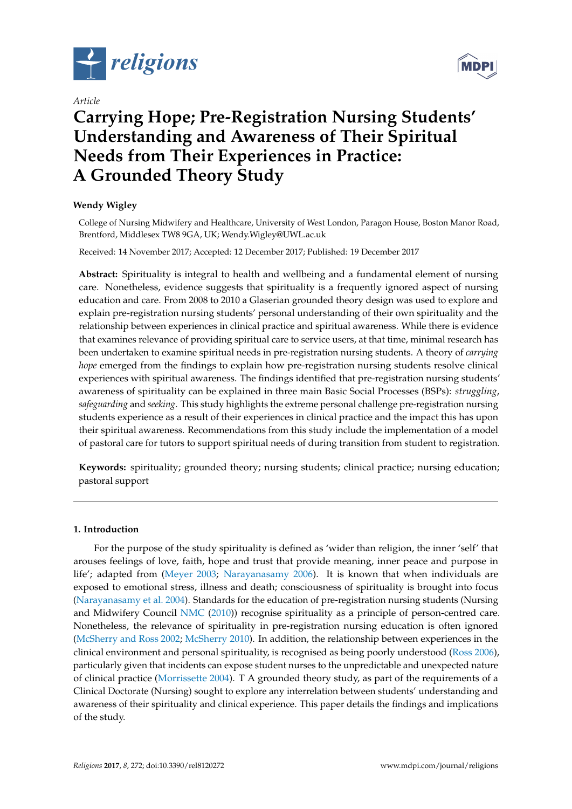

*Article*



# **Carrying Hope; Pre-Registration Nursing Students' Understanding and Awareness of Their Spiritual Needs from Their Experiences in Practice: A Grounded Theory Study**

# **Wendy Wigley**

College of Nursing Midwifery and Healthcare, University of West London, Paragon House, Boston Manor Road, Brentford, Middlesex TW8 9GA, UK; Wendy.Wigley@UWL.ac.uk

Received: 14 November 2017; Accepted: 12 December 2017; Published: 19 December 2017

**Abstract:** Spirituality is integral to health and wellbeing and a fundamental element of nursing care. Nonetheless, evidence suggests that spirituality is a frequently ignored aspect of nursing education and care. From 2008 to 2010 a Glaserian grounded theory design was used to explore and explain pre-registration nursing students' personal understanding of their own spirituality and the relationship between experiences in clinical practice and spiritual awareness. While there is evidence that examines relevance of providing spiritual care to service users, at that time, minimal research has been undertaken to examine spiritual needs in pre-registration nursing students. A theory of *carrying hope* emerged from the findings to explain how pre-registration nursing students resolve clinical experiences with spiritual awareness. The findings identified that pre-registration nursing students' awareness of spirituality can be explained in three main Basic Social Processes (BSPs): *struggling*, *safeguarding* and *seeking*. This study highlights the extreme personal challenge pre-registration nursing students experience as a result of their experiences in clinical practice and the impact this has upon their spiritual awareness. Recommendations from this study include the implementation of a model of pastoral care for tutors to support spiritual needs of during transition from student to registration.

**Keywords:** spirituality; grounded theory; nursing students; clinical practice; nursing education; pastoral support

# **1. Introduction**

For the purpose of the study spirituality is defined as 'wider than religion, the inner 'self' that arouses feelings of love, faith, hope and trust that provide meaning, inner peace and purpose in life'; adapted from [\(Meyer](#page-10-0) [2003;](#page-10-0) [Narayanasamy](#page-10-1) [2006\)](#page-10-1). It is known that when individuals are exposed to emotional stress, illness and death; consciousness of spirituality is brought into focus [\(Narayanasamy et al.](#page-10-2) [2004\)](#page-10-2). Standards for the education of pre-registration nursing students (Nursing and Midwifery Council [NMC](#page-10-3) [\(2010\)](#page-10-3)) recognise spirituality as a principle of person-centred care. Nonetheless, the relevance of spirituality in pre-registration nursing education is often ignored [\(McSherry and Ross](#page-10-4) [2002;](#page-10-4) [McSherry](#page-10-5) [2010\)](#page-10-5). In addition, the relationship between experiences in the clinical environment and personal spirituality, is recognised as being poorly understood [\(Ross](#page-10-6) [2006\)](#page-10-6), particularly given that incidents can expose student nurses to the unpredictable and unexpected nature of clinical practice [\(Morrissette](#page-10-7) [2004\)](#page-10-7). T A grounded theory study, as part of the requirements of a Clinical Doctorate (Nursing) sought to explore any interrelation between students' understanding and awareness of their spirituality and clinical experience. This paper details the findings and implications of the study.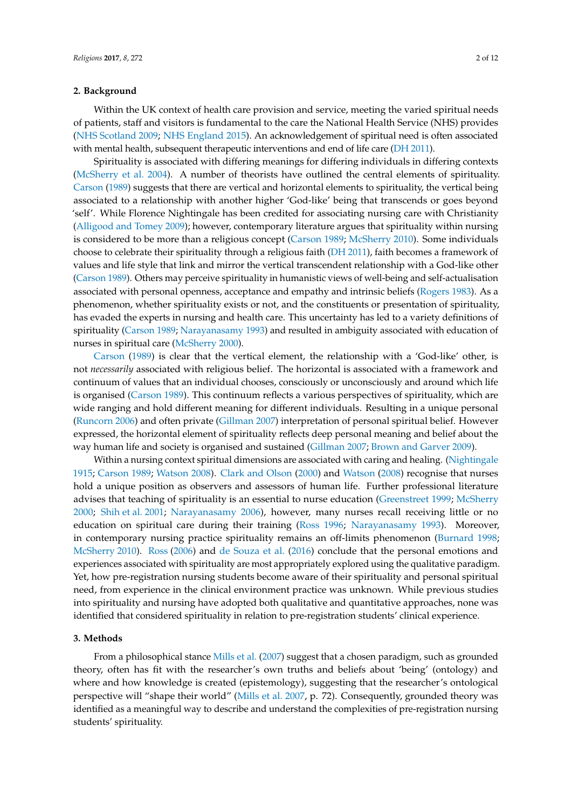### **2. Background**

Within the UK context of health care provision and service, meeting the varied spiritual needs of patients, staff and visitors is fundamental to the care the National Health Service (NHS) provides [\(NHS Scotland](#page-10-8) [2009;](#page-10-8) [NHS England](#page-10-9) [2015\)](#page-10-9). An acknowledgement of spiritual need is often associated with mental health, subsequent therapeutic interventions and end of life care [\(DH](#page-9-0) [2011\)](#page-9-0).

Spirituality is associated with differing meanings for differing individuals in differing contexts [\(McSherry et al.](#page-10-10) [2004\)](#page-10-10). A number of theorists have outlined the central elements of spirituality. [Carson](#page-9-1) [\(1989\)](#page-9-1) suggests that there are vertical and horizontal elements to spirituality, the vertical being associated to a relationship with another higher 'God-like' being that transcends or goes beyond 'self'. While Florence Nightingale has been credited for associating nursing care with Christianity [\(Alligood and Tomey](#page-9-2) [2009\)](#page-9-2); however, contemporary literature argues that spirituality within nursing is considered to be more than a religious concept [\(Carson](#page-9-1) [1989;](#page-9-1) [McSherry](#page-10-5) [2010\)](#page-10-5). Some individuals choose to celebrate their spirituality through a religious faith [\(DH](#page-9-0) [2011\)](#page-9-0), faith becomes a framework of values and life style that link and mirror the vertical transcendent relationship with a God-like other [\(Carson](#page-9-1) [1989\)](#page-9-1). Others may perceive spirituality in humanistic views of well-being and self-actualisation associated with personal openness, acceptance and empathy and intrinsic beliefs [\(Rogers](#page-10-11) [1983\)](#page-10-11). As a phenomenon, whether spirituality exists or not, and the constituents or presentation of spirituality, has evaded the experts in nursing and health care. This uncertainty has led to a variety definitions of spirituality [\(Carson](#page-9-1) [1989;](#page-9-1) [Narayanasamy](#page-10-12) [1993\)](#page-10-12) and resulted in ambiguity associated with education of nurses in spiritual care [\(McSherry](#page-10-13) [2000\)](#page-10-13).

[Carson](#page-9-1) [\(1989\)](#page-9-1) is clear that the vertical element, the relationship with a 'God-like' other, is not *necessarily* associated with religious belief. The horizontal is associated with a framework and continuum of values that an individual chooses, consciously or unconsciously and around which life is organised [\(Carson](#page-9-1) [1989\)](#page-9-1). This continuum reflects a various perspectives of spirituality, which are wide ranging and hold different meaning for different individuals. Resulting in a unique personal [\(Runcorn](#page-10-14) [2006\)](#page-10-14) and often private [\(Gillman](#page-10-15) [2007\)](#page-10-15) interpretation of personal spiritual belief. However expressed, the horizontal element of spirituality reflects deep personal meaning and belief about the way human life and society is organised and sustained [\(Gillman](#page-10-15) [2007;](#page-10-15) [Brown and Garver](#page-9-3) [2009\)](#page-9-3).

Within a nursing context spiritual dimensions are associated with caring and healing. [\(Nightingale](#page-10-16) [1915;](#page-10-16) [Carson](#page-9-1) [1989;](#page-9-1) [Watson](#page-11-0) [2008\)](#page-11-0). [Clark and Olson](#page-9-4) [\(2000\)](#page-9-4) and [Watson](#page-11-0) [\(2008\)](#page-11-0) recognise that nurses hold a unique position as observers and assessors of human life. Further professional literature advises that teaching of spirituality is an essential to nurse education [\(Greenstreet](#page-10-17) [1999;](#page-10-17) [McSherry](#page-10-13) [2000;](#page-10-13) [Shih et al.](#page-10-18) [2001;](#page-10-18) [Narayanasamy](#page-10-1) [2006\)](#page-10-1), however, many nurses recall receiving little or no education on spiritual care during their training [\(Ross](#page-10-19) [1996;](#page-10-19) [Narayanasamy](#page-10-12) [1993\)](#page-10-12). Moreover, in contemporary nursing practice spirituality remains an off-limits phenomenon [\(Burnard](#page-9-5) [1998;](#page-9-5) [McSherry](#page-10-5) [2010\)](#page-10-5). [Ross](#page-10-6) [\(2006\)](#page-10-6) and [de Souza et al.](#page-9-6) [\(2016\)](#page-9-6) conclude that the personal emotions and experiences associated with spirituality are most appropriately explored using the qualitative paradigm. Yet, how pre-registration nursing students become aware of their spirituality and personal spiritual need, from experience in the clinical environment practice was unknown. While previous studies into spirituality and nursing have adopted both qualitative and quantitative approaches, none was identified that considered spirituality in relation to pre-registration students' clinical experience.

#### **3. Methods**

From a philosophical stance [Mills et al.](#page-10-20) [\(2007\)](#page-10-20) suggest that a chosen paradigm, such as grounded theory, often has fit with the researcher's own truths and beliefs about 'being' (ontology) and where and how knowledge is created (epistemology), suggesting that the researcher's ontological perspective will "shape their world" [\(Mills et al.](#page-10-20) [2007,](#page-10-20) p. 72). Consequently, grounded theory was identified as a meaningful way to describe and understand the complexities of pre-registration nursing students' spirituality.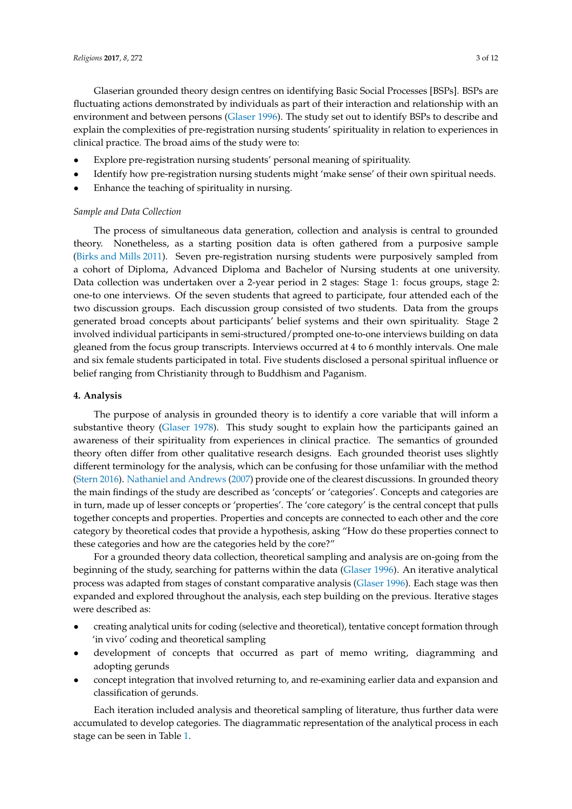Glaserian grounded theory design centres on identifying Basic Social Processes [BSPs]. BSPs are fluctuating actions demonstrated by individuals as part of their interaction and relationship with an environment and between persons [\(Glaser](#page-10-21) [1996\)](#page-10-21). The study set out to identify BSPs to describe and explain the complexities of pre-registration nursing students' spirituality in relation to experiences in clinical practice. The broad aims of the study were to:

- Explore pre-registration nursing students' personal meaning of spirituality.
- Identify how pre-registration nursing students might 'make sense' of their own spiritual needs.
- Enhance the teaching of spirituality in nursing.

#### *Sample and Data Collection*

The process of simultaneous data generation, collection and analysis is central to grounded theory. Nonetheless, as a starting position data is often gathered from a purposive sample [\(Birks and Mills](#page-9-7) [2011\)](#page-9-7). Seven pre-registration nursing students were purposively sampled from a cohort of Diploma, Advanced Diploma and Bachelor of Nursing students at one university. Data collection was undertaken over a 2-year period in 2 stages: Stage 1: focus groups, stage 2: one-to one interviews. Of the seven students that agreed to participate, four attended each of the two discussion groups. Each discussion group consisted of two students. Data from the groups generated broad concepts about participants' belief systems and their own spirituality. Stage 2 involved individual participants in semi-structured/prompted one-to-one interviews building on data gleaned from the focus group transcripts. Interviews occurred at 4 to 6 monthly intervals. One male and six female students participated in total. Five students disclosed a personal spiritual influence or belief ranging from Christianity through to Buddhism and Paganism.

### **4. Analysis**

The purpose of analysis in grounded theory is to identify a core variable that will inform a substantive theory [\(Glaser](#page-10-22) [1978\)](#page-10-22). This study sought to explain how the participants gained an awareness of their spirituality from experiences in clinical practice. The semantics of grounded theory often differ from other qualitative research designs. Each grounded theorist uses slightly different terminology for the analysis, which can be confusing for those unfamiliar with the method [\(Stern](#page-11-1) [2016\)](#page-11-1). [Nathaniel and Andrews](#page-10-23) [\(2007\)](#page-10-23) provide one of the clearest discussions. In grounded theory the main findings of the study are described as 'concepts' or 'categories'. Concepts and categories are in turn, made up of lesser concepts or 'properties'. The 'core category' is the central concept that pulls together concepts and properties. Properties and concepts are connected to each other and the core category by theoretical codes that provide a hypothesis, asking "How do these properties connect to these categories and how are the categories held by the core?"

For a grounded theory data collection, theoretical sampling and analysis are on-going from the beginning of the study, searching for patterns within the data [\(Glaser](#page-10-21) [1996\)](#page-10-21). An iterative analytical process was adapted from stages of constant comparative analysis [\(Glaser](#page-10-21) [1996\)](#page-10-21). Each stage was then expanded and explored throughout the analysis, each step building on the previous. Iterative stages were described as:

- creating analytical units for coding (selective and theoretical), tentative concept formation through 'in vivo' coding and theoretical sampling
- development of concepts that occurred as part of memo writing, diagramming and adopting gerunds
- concept integration that involved returning to, and re-examining earlier data and expansion and classification of gerunds.

Each iteration included analysis and theoretical sampling of literature, thus further data were accumulated to develop categories. The diagrammatic representation of the analytical process in each stage can be seen in Table [1.](#page-3-0)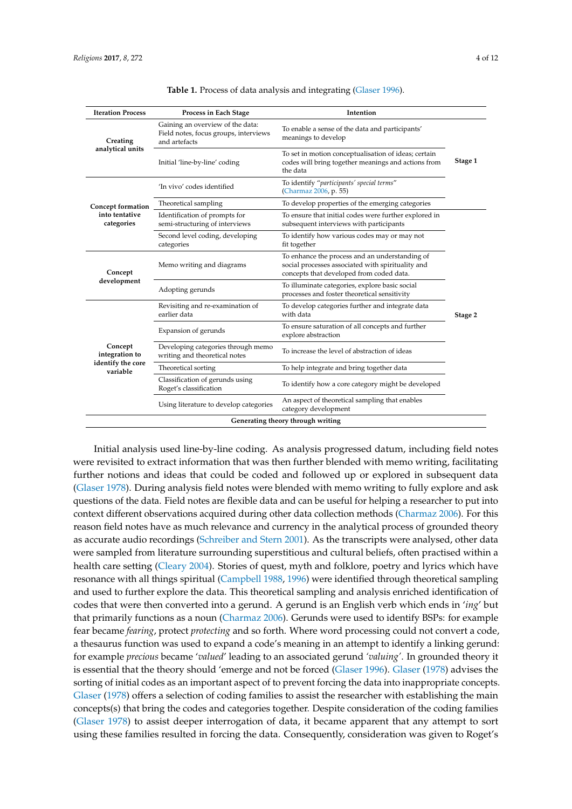<span id="page-3-0"></span>

| <b>Iteration Process</b>                                   | Process in Each Stage                                                                      | Intention                                                                                                                                       |         |  |
|------------------------------------------------------------|--------------------------------------------------------------------------------------------|-------------------------------------------------------------------------------------------------------------------------------------------------|---------|--|
| Creating<br>analytical units                               | Gaining an overview of the data:<br>Field notes, focus groups, interviews<br>and artefacts | To enable a sense of the data and participants'<br>meanings to develop                                                                          |         |  |
|                                                            | Initial 'line-by-line' coding                                                              | To set in motion conceptualisation of ideas; certain<br>codes will bring together meanings and actions from<br>the data                         |         |  |
| Concept formation<br>into tentative<br>categories          | 'In vivo' codes identified                                                                 | To identify "participants' special terms"<br>(Charmaz 2006, p. 55)                                                                              |         |  |
|                                                            | Theoretical sampling                                                                       | To develop properties of the emerging categories                                                                                                |         |  |
|                                                            | Identification of prompts for<br>semi-structuring of interviews                            | To ensure that initial codes were further explored in<br>subsequent interviews with participants                                                |         |  |
|                                                            | Second level coding, developing<br>categories                                              | To identify how various codes may or may not<br>fit together                                                                                    |         |  |
| Concept<br>development                                     | Memo writing and diagrams                                                                  | To enhance the process and an understanding of<br>social processes associated with spirituality and<br>concepts that developed from coded data. |         |  |
|                                                            | Adopting gerunds                                                                           | To illuminate categories, explore basic social<br>processes and foster theoretical sensitivity                                                  |         |  |
| Concept<br>integration to<br>identify the core<br>variable | Revisiting and re-examination of<br>earlier data                                           | To develop categories further and integrate data<br>with data                                                                                   | Stage 2 |  |
|                                                            | Expansion of gerunds                                                                       | To ensure saturation of all concepts and further<br>explore abstraction                                                                         |         |  |
|                                                            | Developing categories through memo<br>writing and theoretical notes                        | To increase the level of abstraction of ideas                                                                                                   |         |  |
|                                                            | Theoretical sorting                                                                        | To help integrate and bring together data                                                                                                       |         |  |
|                                                            | Classification of gerunds using<br>Roget's classification                                  | To identify how a core category might be developed                                                                                              |         |  |
|                                                            | Using literature to develop categories                                                     | An aspect of theoretical sampling that enables<br>category development                                                                          |         |  |

| Table 1. Process of data analysis and integrating (Glaser 1996). |  |  |  |
|------------------------------------------------------------------|--|--|--|
|------------------------------------------------------------------|--|--|--|

Initial analysis used line-by-line coding. As analysis progressed datum, including field notes were revisited to extract information that was then further blended with memo writing, facilitating further notions and ideas that could be coded and followed up or explored in subsequent data [\(Glaser](#page-10-22) [1978\)](#page-10-22). During analysis field notes were blended with memo writing to fully explore and ask questions of the data. Field notes are flexible data and can be useful for helping a researcher to put into context different observations acquired during other data collection methods [\(Charmaz](#page-9-8) [2006\)](#page-9-8). For this reason field notes have as much relevance and currency in the analytical process of grounded theory as accurate audio recordings [\(Schreiber and Stern](#page-10-24) [2001\)](#page-10-24). As the transcripts were analysed, other data were sampled from literature surrounding superstitious and cultural beliefs, often practised within a health care setting [\(Cleary](#page-9-9) [2004\)](#page-9-9). Stories of quest, myth and folklore, poetry and lyrics which have resonance with all things spiritual [\(Campbell](#page-9-10) [1988,](#page-9-10) [1996\)](#page-9-11) were identified through theoretical sampling and used to further explore the data. This theoretical sampling and analysis enriched identification of codes that were then converted into a gerund. A gerund is an English verb which ends in '*ing*' but that primarily functions as a noun [\(Charmaz](#page-9-8) [2006\)](#page-9-8). Gerunds were used to identify BSPs: for example fear became *fearing*, protect *protecting* and so forth. Where word processing could not convert a code, a thesaurus function was used to expand a code's meaning in an attempt to identify a linking gerund: for example *precious* became '*valued*' leading to an associated gerund *'valuing'*. In grounded theory it is essential that the theory should 'emerge and not be forced [\(Glaser](#page-10-21) [1996\)](#page-10-21). [Glaser](#page-10-22) [\(1978\)](#page-10-22) advises the sorting of initial codes as an important aspect of to prevent forcing the data into inappropriate concepts. [Glaser](#page-10-22) [\(1978\)](#page-10-22) offers a selection of coding families to assist the researcher with establishing the main concepts(s) that bring the codes and categories together. Despite consideration of the coding families [\(Glaser](#page-10-22) [1978\)](#page-10-22) to assist deeper interrogation of data, it became apparent that any attempt to sort using these families resulted in forcing the data. Consequently, consideration was given to Roget's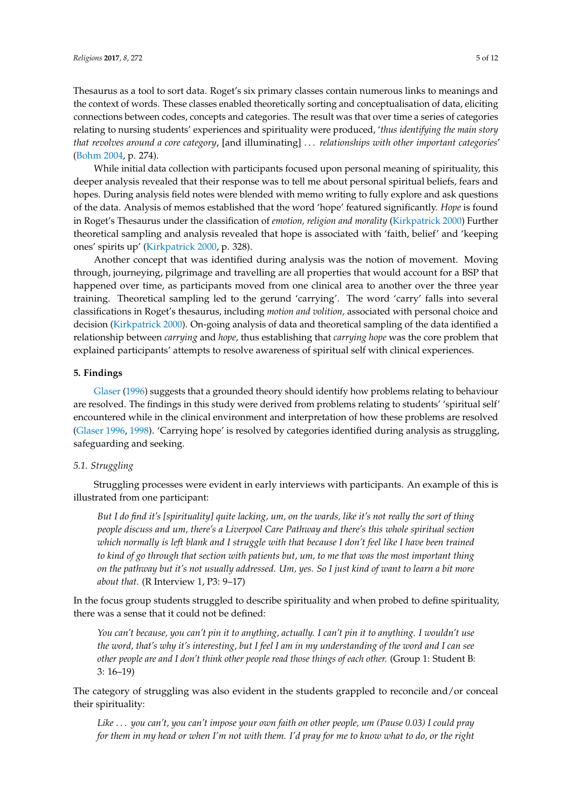Thesaurus as a tool to sort data. Roget's six primary classes contain numerous links to meanings and the context of words. These classes enabled theoretically sorting and conceptualisation of data, eliciting connections between codes, concepts and categories. The result was that over time a series of categories relating to nursing students' experiences and spirituality were produced, '*thus identifying the main story that revolves around a core category*, [and illuminating] . . . *relationships with other important categories*' [\(Bohm](#page-9-12) [2004,](#page-9-12) p. 274).

While initial data collection with participants focused upon personal meaning of spirituality, this deeper analysis revealed that their response was to tell me about personal spiritual beliefs, fears and hopes. During analysis field notes were blended with memo writing to fully explore and ask questions of the data. Analysis of memos established that the word 'hope' featured significantly. *Hope* is found in Roget's Thesaurus under the classification of *emotion, religion and morality* [\(Kirkpatrick](#page-10-25) [2000\)](#page-10-25) Further theoretical sampling and analysis revealed that hope is associated with 'faith, belief' and 'keeping ones' spirits up' [\(Kirkpatrick](#page-10-25) [2000,](#page-10-25) p. 328).

Another concept that was identified during analysis was the notion of movement. Moving through, journeying, pilgrimage and travelling are all properties that would account for a BSP that happened over time, as participants moved from one clinical area to another over the three year training. Theoretical sampling led to the gerund 'carrying'. The word 'carry' falls into several classifications in Roget's thesaurus, including *motion and volition,* associated with personal choice and decision [\(Kirkpatrick](#page-10-25) [2000\)](#page-10-25). On-going analysis of data and theoretical sampling of the data identified a relationship between *carrying* and *hope*, thus establishing that *carrying hope* was the core problem that explained participants' attempts to resolve awareness of spiritual self with clinical experiences.

### **5. Findings**

[Glaser](#page-10-21) [\(1996\)](#page-10-21) suggests that a grounded theory should identify how problems relating to behaviour are resolved. The findings in this study were derived from problems relating to students' 'spiritual self' encountered while in the clinical environment and interpretation of how these problems are resolved [\(Glaser](#page-10-21) [1996,](#page-10-21) [1998\)](#page-10-26). 'Carrying hope' is resolved by categories identified during analysis as struggling, safeguarding and seeking.

# *5.1. Struggling*

Struggling processes were evident in early interviews with participants. An example of this is illustrated from one participant:

*But I do find it's [spirituality] quite lacking, um, on the wards, like it's not really the sort of thing people discuss and um, there's a Liverpool Care Pathway and there's this whole spiritual section which normally is left blank and I struggle with that because I don't feel like I have been trained to kind of go through that section with patients but, um, to me that was the most important thing on the pathway but it's not usually addressed. Um, yes. So I just kind of want to learn a bit more about that.* (R Interview 1, P3: 9–17)

In the focus group students struggled to describe spirituality and when probed to define spirituality, there was a sense that it could not be defined:

*You can't because, you can't pin it to anything, actually. I can't pin it to anything. I wouldn't use the word, that's why it's interesting, but I feel I am in my understanding of the word and I can see other people are and I don't think other people read those things of each other.* (Group 1: Student B: 3: 16–19)

The category of struggling was also evident in the students grappled to reconcile and/or conceal their spirituality:

*Like* . . . *you can't, you can't impose your own faith on other people, um (Pause 0.03) I could pray for them in my head or when I'm not with them. I'd pray for me to know what to do, or the right*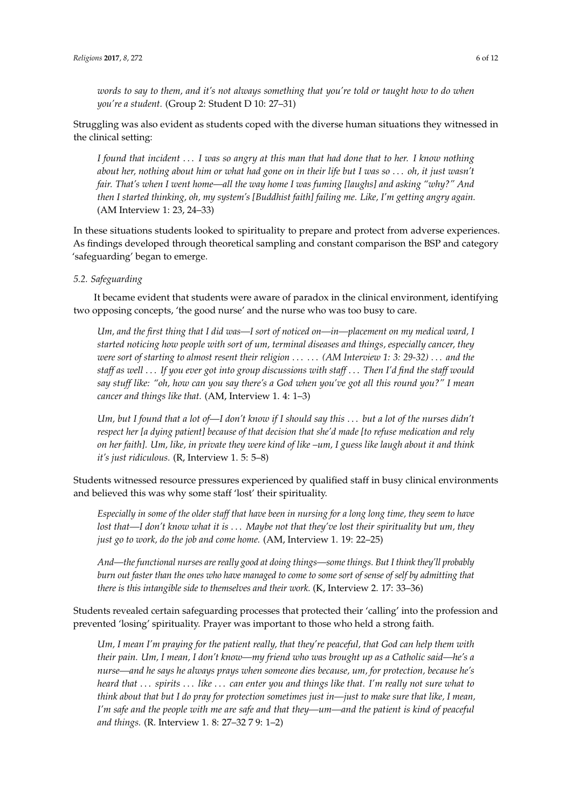*words to say to them, and it's not always something that you're told or taught how to do when you're a student.* (Group 2: Student D 10: 27–31)

Struggling was also evident as students coped with the diverse human situations they witnessed in the clinical setting:

*I found that incident* . . . *I was so angry at this man that had done that to her. I know nothing about her, nothing about him or what had gone on in their life but I was so* . . . *oh, it just wasn't fair. That's when I went home—all the way home I was fuming [laughs] and asking "why?" And then I started thinking, oh, my system's [Buddhist faith] failing me. Like, I'm getting angry again.* (AM Interview 1: 23, 24–33)

In these situations students looked to spirituality to prepare and protect from adverse experiences. As findings developed through theoretical sampling and constant comparison the BSP and category 'safeguarding' began to emerge.

# *5.2. Safeguarding*

It became evident that students were aware of paradox in the clinical environment, identifying two opposing concepts, 'the good nurse' and the nurse who was too busy to care.

*Um, and the first thing that I did was—I sort of noticed on—in—placement on my medical ward, I started noticing how people with sort of um, terminal diseases and things, especially cancer, they were sort of starting to almost resent their religion* . . . . . . *(AM Interview 1: 3: 29-32)* . . . *and the staff as well* . . . *If you ever got into group discussions with staff* . . . *Then I'd find the staff would say stuff like: "oh, how can you say there's a God when you've got all this round you?" I mean cancer and things like that.* (AM, Interview 1. 4: 1–3)

*Um, but I found that a lot of—I don't know if I should say this* . . . *but a lot of the nurses didn't respect her [a dying patient] because of that decision that she'd made [to refuse medication and rely on her faith]. Um, like, in private they were kind of like –um, I guess like laugh about it and think it's just ridiculous.* (R, Interview 1. 5: 5–8)

Students witnessed resource pressures experienced by qualified staff in busy clinical environments and believed this was why some staff 'lost' their spirituality.

*Especially in some of the older staff that have been in nursing for a long long time, they seem to have lost that—I don't know what it is* . . . *Maybe not that they've lost their spirituality but um, they just go to work, do the job and come home.* (AM, Interview 1. 19: 22–25)

*And—the functional nurses are really good at doing things—some things. But I think they'll probably burn out faster than the ones who have managed to come to some sort of sense of self by admitting that there is this intangible side to themselves and their work.* (K, Interview 2. 17: 33–36)

Students revealed certain safeguarding processes that protected their 'calling' into the profession and prevented 'losing' spirituality. Prayer was important to those who held a strong faith.

*Um, I mean I'm praying for the patient really, that they're peaceful, that God can help them with their pain. Um, I mean, I don't know—my friend who was brought up as a Catholic said—he's a nurse—and he says he always prays when someone dies because, um, for protection, because he's heard that* . . . *spirits* . . . *like* . . . *can enter you and things like that. I'm really not sure what to think about that but I do pray for protection sometimes just in—just to make sure that like, I mean, I'm safe and the people with me are safe and that they—um—and the patient is kind of peaceful and things.* (R. Interview 1. 8: 27–32 7 9: 1–2)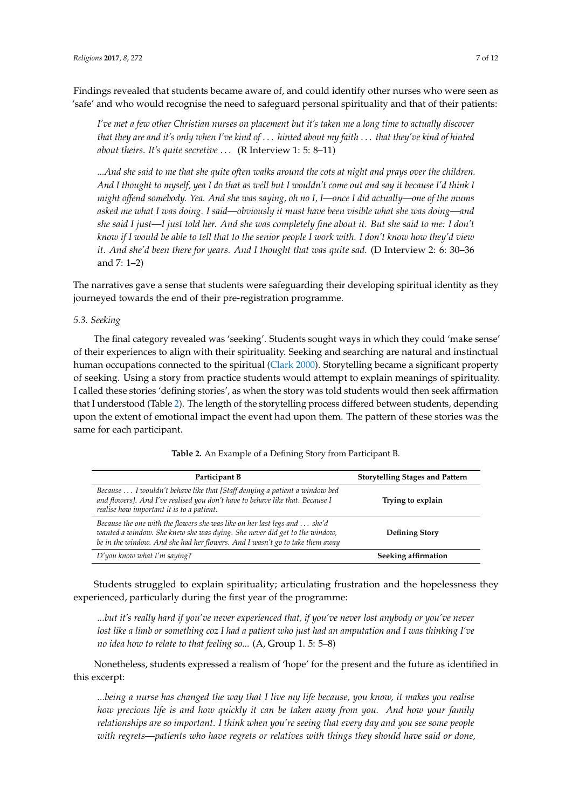Findings revealed that students became aware of, and could identify other nurses who were seen as 'safe' and who would recognise the need to safeguard personal spirituality and that of their patients:

*I've met a few other Christian nurses on placement but it's taken me a long time to actually discover that they are and it's only when I've kind of* . . . *hinted about my faith* . . . *that they've kind of hinted about theirs. It's quite secretive* . . . (R Interview 1: 5: 8–11)

*...And she said to me that she quite often walks around the cots at night and prays over the children. And I thought to myself, yea I do that as well but I wouldn't come out and say it because I'd think I might offend somebody. Yea. And she was saying, oh no I, I—once I did actually—one of the mums asked me what I was doing. I said—obviously it must have been visible what she was doing—and she said I just—I just told her. And she was completely fine about it. But she said to me: I don't know if I would be able to tell that to the senior people I work with. I don't know how they'd view it. And she'd been there for years. And I thought that was quite sad.* (D Interview 2: 6: 30–36 and 7: 1–2)

The narratives gave a sense that students were safeguarding their developing spiritual identity as they journeyed towards the end of their pre-registration programme.

# *5.3. Seeking*

The final category revealed was 'seeking'. Students sought ways in which they could 'make sense' of their experiences to align with their spirituality. Seeking and searching are natural and instinctual human occupations connected to the spiritual [\(Clark](#page-9-13) [2000\)](#page-9-13). Storytelling became a significant property of seeking. Using a story from practice students would attempt to explain meanings of spirituality. I called these stories 'defining stories', as when the story was told students would then seek affirmation that I understood (Table [2\)](#page-6-0). The length of the storytelling process differed between students, depending upon the extent of emotional impact the event had upon them. The pattern of these stories was the same for each participant.

<span id="page-6-0"></span>

| Participant B                                                                                                                                                                                                                          | <b>Storytelling Stages and Pattern</b> |  |
|----------------------------------------------------------------------------------------------------------------------------------------------------------------------------------------------------------------------------------------|----------------------------------------|--|
| Because  I wouldn't behave like that [Staff denying a patient a window bed<br>and flowers]. And I've realised you don't have to behave like that. Because I<br>Trying to explain<br>realise how important it is to a patient.          |                                        |  |
| Because the one with the flowers she was like on her last legs and  she'd<br>wanted a window. She knew she was dying. She never did get to the window,<br>be in the window. And she had her flowers. And I wasn't go to take them away | <b>Defining Story</b>                  |  |
| $D'$ you know what I'm saying?                                                                                                                                                                                                         | Seeking affirmation                    |  |

**Table 2.** An Example of a Defining Story from Participant B.

Students struggled to explain spirituality; articulating frustration and the hopelessness they experienced, particularly during the first year of the programme:

*...but it's really hard if you've never experienced that, if you've never lost anybody or you've never lost like a limb or something coz I had a patient who just had an amputation and I was thinking I've no idea how to relate to that feeling so...* (A, Group 1. 5: 5–8)

Nonetheless, students expressed a realism of 'hope' for the present and the future as identified in this excerpt:

*...being a nurse has changed the way that I live my life because, you know, it makes you realise how precious life is and how quickly it can be taken away from you. And how your family relationships are so important. I think when you're seeing that every day and you see some people with regrets—patients who have regrets or relatives with things they should have said or done,*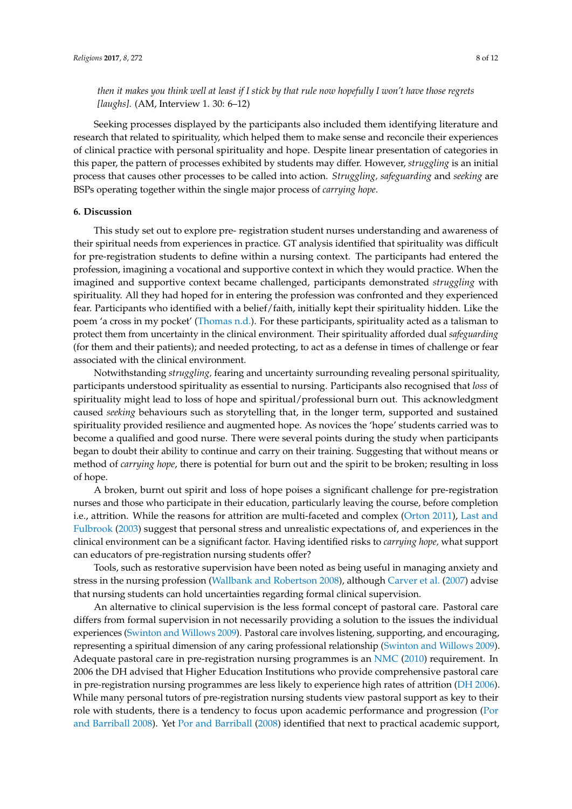*then it makes you think well at least if I stick by that rule now hopefully I won't have those regrets [laughs].* (AM, Interview 1. 30: 6–12)

Seeking processes displayed by the participants also included them identifying literature and research that related to spirituality, which helped them to make sense and reconcile their experiences of clinical practice with personal spirituality and hope. Despite linear presentation of categories in this paper, the pattern of processes exhibited by students may differ. However, *struggling* is an initial process that causes other processes to be called into action. *Struggling, safeguarding* and *seeking* are BSPs operating together within the single major process of *carrying hope*.

#### **6. Discussion**

This study set out to explore pre- registration student nurses understanding and awareness of their spiritual needs from experiences in practice. GT analysis identified that spirituality was difficult for pre-registration students to define within a nursing context. The participants had entered the profession, imagining a vocational and supportive context in which they would practice. When the imagined and supportive context became challenged, participants demonstrated *struggling* with spirituality. All they had hoped for in entering the profession was confronted and they experienced fear. Participants who identified with a belief/faith, initially kept their spirituality hidden. Like the poem 'a cross in my pocket' [\(Thomas](#page-11-2) [n.d.\)](#page-11-2). For these participants, spirituality acted as a talisman to protect them from uncertainty in the clinical environment. Their spirituality afforded dual *safeguarding* (for them and their patients); and needed protecting, to act as a defense in times of challenge or fear associated with the clinical environment.

Notwithstanding *struggling,* fearing and uncertainty surrounding revealing personal spirituality, participants understood spirituality as essential to nursing. Participants also recognised that *loss* of spirituality might lead to loss of hope and spiritual/professional burn out. This acknowledgment caused *seeking* behaviours such as storytelling that, in the longer term, supported and sustained spirituality provided resilience and augmented hope. As novices the 'hope' students carried was to become a qualified and good nurse. There were several points during the study when participants began to doubt their ability to continue and carry on their training. Suggesting that without means or method of *carrying hope*, there is potential for burn out and the spirit to be broken; resulting in loss of hope.

A broken, burnt out spirit and loss of hope poises a significant challenge for pre-registration nurses and those who participate in their education, particularly leaving the course, before completion i.e., attrition. While the reasons for attrition are multi-faceted and complex [\(Orton](#page-10-27) [2011\)](#page-10-27), [Last and](#page-10-28) [Fulbrook](#page-10-28) [\(2003\)](#page-10-28) suggest that personal stress and unrealistic expectations of, and experiences in the clinical environment can be a significant factor. Having identified risks to *carrying hope,* what support can educators of pre-registration nursing students offer?

Tools, such as restorative supervision have been noted as being useful in managing anxiety and stress in the nursing profession [\(Wallbank and Robertson](#page-11-3) [2008\)](#page-11-3), although [Carver et al.](#page-9-14) [\(2007\)](#page-9-14) advise that nursing students can hold uncertainties regarding formal clinical supervision.

An alternative to clinical supervision is the less formal concept of pastoral care. Pastoral care differs from formal supervision in not necessarily providing a solution to the issues the individual experiences [\(Swinton and Willows](#page-11-4) [2009\)](#page-11-4). Pastoral care involves listening, supporting, and encouraging, representing a spiritual dimension of any caring professional relationship [\(Swinton and Willows](#page-11-4) [2009\)](#page-11-4). Adequate pastoral care in pre-registration nursing programmes is an [NMC](#page-10-3) [\(2010\)](#page-10-3) requirement. In 2006 the DH advised that Higher Education Institutions who provide comprehensive pastoral care in pre-registration nursing programmes are less likely to experience high rates of attrition [\(DH](#page-9-15) [2006\)](#page-9-15). While many personal tutors of pre-registration nursing students view pastoral support as key to their role with students, there is a tendency to focus upon academic performance and progression [\(Por](#page-10-29) [and Barriball](#page-10-29) [2008\)](#page-10-29). Yet [Por and Barriball](#page-10-29) [\(2008\)](#page-10-29) identified that next to practical academic support,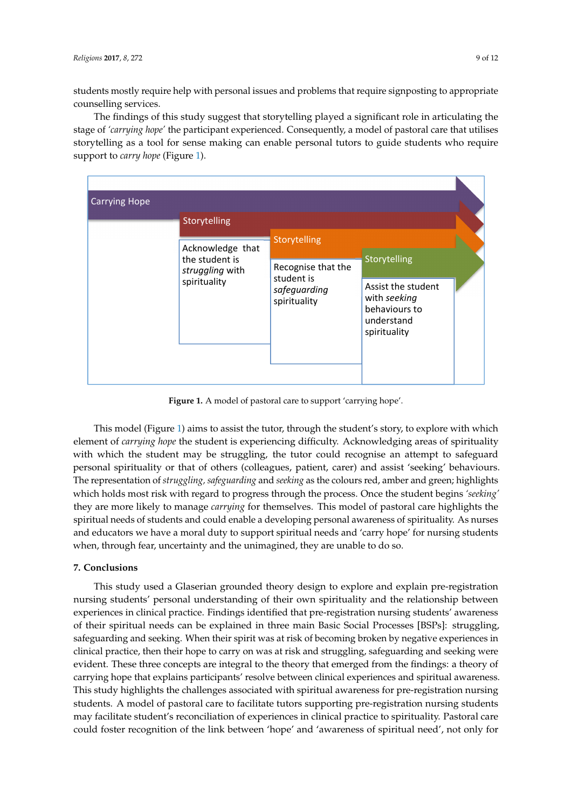students mostly require help with personal issues and problems that require signposting to appropriate counselling services.

The findings of this study suggest that storytelling played a significant role in articulating the stage of *'carrying hope'* the participant experienced. Consequently, a model of pastoral care that utilises storytelling as a tool for sense making can enable personal tutors to guide students who require support to *carry hope* (Figure [1\)](#page-8-0).

<span id="page-8-0"></span>

| <b>Carrying Hope</b> |                                                                       |                                                                                  |                                                                                                   |  |
|----------------------|-----------------------------------------------------------------------|----------------------------------------------------------------------------------|---------------------------------------------------------------------------------------------------|--|
|                      | Storytelling                                                          |                                                                                  |                                                                                                   |  |
|                      | Acknowledge that<br>the student is<br>struggling with<br>spirituality | Storytelling<br>Recognise that the<br>student is<br>safeguarding<br>spirituality | Storytelling<br>Assist the student<br>with seeking<br>behaviours to<br>understand<br>spirituality |  |

**Figure 1.** A model of pastoral care to support 'carrying hope'. **Figure 1.** A model of pastoral care to support 'carrying hope'.

 $T_{\rm eff}$  and the tutor, through the tutor, through the studients story, through the story, to explore with which which which with which with which with which with which with which with which with which with which with whi This model (Figure [1\)](#page-8-0) aims to assist the tutor, through the student's story, to explore with which<br>It is a strike with which with the student of the student's story, to explore with which element of *carrying hope* the student is experiencing difficulty. Acknowledging areas of spirituality with which the student may be struggling, the tutor could recognise an attempt to safeguard personal spirituality or that of others (colleagues, patient, carer) and assist 'seeking' behaviours.<br>— The representation of struggling, safeguarding and seeking as the colours red, amber and green; highlights which holds most risk with regard to progress through the process. Once the student begins *'seeking'* they are more likely to manage *carrying* for themselves. This model of pastoral care highlights the spiritual needs of students and could enable a developing personal awareness of spirituality. As nurses and educators we have a moral duty to support spiritual needs and 'carry hope' for nursing students when, through fear, uncertainty and the unimagined, they are unable to do so.

### **7. Conclusions**

This study used a Glaserian grounded theory design to explore and explain pre-registration nursing students' personal understanding of their own spirituality and the relationship between experiences in clinical practice. Findings identified that pre-registration nursing students' awareness of their spiritual needs can be explained in three main Basic Social Processes [BSPs]: struggling, safeguarding and seeking. When their spirit was at risk of becoming broken by negative experiences in clinical practice, then their hope to carry on was at risk and struggling, safeguarding and seeking were evident. These three concepts are integral to the theory that emerged from the findings: a theory of carrying hope that explains participants' resolve between clinical experiences and spiritual awareness. This study highlights the challenges associated with spiritual awareness for pre-registration nursing students. A model of pastoral care to facilitate tutors supporting pre-registration nursing students may facilitate student's reconciliation of experiences in clinical practice to spirituality. Pastoral care could foster recognition of the link between 'hope' and 'awareness of spiritual need', not only for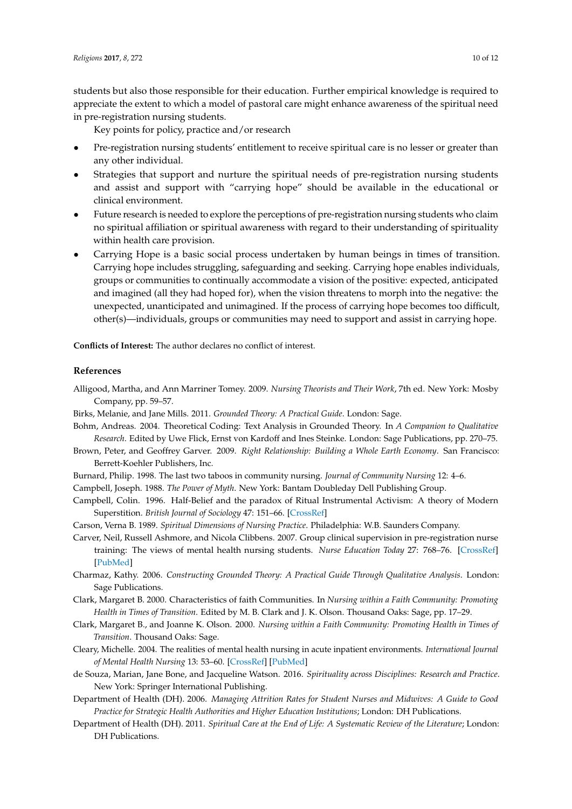students but also those responsible for their education. Further empirical knowledge is required to appreciate the extent to which a model of pastoral care might enhance awareness of the spiritual need in pre-registration nursing students.

Key points for policy, practice and/or research

- Pre-registration nursing students' entitlement to receive spiritual care is no lesser or greater than any other individual.
- Strategies that support and nurture the spiritual needs of pre-registration nursing students and assist and support with "carrying hope" should be available in the educational or clinical environment.
- Future research is needed to explore the perceptions of pre-registration nursing students who claim no spiritual affiliation or spiritual awareness with regard to their understanding of spirituality within health care provision.
- Carrying Hope is a basic social process undertaken by human beings in times of transition. Carrying hope includes struggling, safeguarding and seeking. Carrying hope enables individuals, groups or communities to continually accommodate a vision of the positive: expected, anticipated and imagined (all they had hoped for), when the vision threatens to morph into the negative: the unexpected, unanticipated and unimagined. If the process of carrying hope becomes too difficult, other(s)—individuals, groups or communities may need to support and assist in carrying hope.

**Conflicts of Interest:** The author declares no conflict of interest.

#### **References**

- <span id="page-9-2"></span>Alligood, Martha, and Ann Marriner Tomey. 2009. *Nursing Theorists and Their Work*, 7th ed. New York: Mosby Company, pp. 59–57.
- <span id="page-9-7"></span>Birks, Melanie, and Jane Mills. 2011. *Grounded Theory: A Practical Guide*. London: Sage.
- <span id="page-9-12"></span>Bohm, Andreas. 2004. Theoretical Coding: Text Analysis in Grounded Theory. In *A Companion to Qualitative Research*. Edited by Uwe Flick, Ernst von Kardoff and Ines Steinke. London: Sage Publications, pp. 270–75.
- <span id="page-9-3"></span>Brown, Peter, and Geoffrey Garver. 2009. *Right Relationship: Building a Whole Earth Economy*. San Francisco: Berrett-Koehler Publishers, Inc.
- <span id="page-9-5"></span>Burnard, Philip. 1998. The last two taboos in community nursing. *Journal of Community Nursing* 12: 4–6.

<span id="page-9-11"></span><span id="page-9-10"></span>Campbell, Joseph. 1988. *The Power of Myth*. New York: Bantam Doubleday Dell Publishing Group.

- Campbell, Colin. 1996. Half-Belief and the paradox of Ritual Instrumental Activism: A theory of Modern Superstition. *British Journal of Sociology* 47: 151–66. [\[CrossRef\]](http://dx.doi.org/10.2307/591121)
- <span id="page-9-1"></span>Carson, Verna B. 1989. *Spiritual Dimensions of Nursing Practice*. Philadelphia: W.B. Saunders Company.
- <span id="page-9-14"></span>Carver, Neil, Russell Ashmore, and Nicola Clibbens. 2007. Group clinical supervision in pre-registration nurse training: The views of mental health nursing students. *Nurse Education Today* 27: 768–76. [\[CrossRef\]](http://dx.doi.org/10.1016/j.nedt.2006.10.010) [\[PubMed\]](http://www.ncbi.nlm.nih.gov/pubmed/17141379)
- <span id="page-9-8"></span>Charmaz, Kathy. 2006. *Constructing Grounded Theory: A Practical Guide Through Qualitative Analysis*. London: Sage Publications.
- <span id="page-9-13"></span>Clark, Margaret B. 2000. Characteristics of faith Communities. In *Nursing within a Faith Community: Promoting Health in Times of Transition*. Edited by M. B. Clark and J. K. Olson. Thousand Oaks: Sage, pp. 17–29.
- <span id="page-9-4"></span>Clark, Margaret B., and Joanne K. Olson. 2000. *Nursing within a Faith Community: Promoting Health in Times of Transition*. Thousand Oaks: Sage.
- <span id="page-9-9"></span>Cleary, Michelle. 2004. The realities of mental health nursing in acute inpatient environments. *International Journal of Mental Health Nursing* 13: 53–60. [\[CrossRef\]](http://dx.doi.org/10.1111/j.1447-0349.2004.00308.x) [\[PubMed\]](http://www.ncbi.nlm.nih.gov/pubmed/15009379)
- <span id="page-9-6"></span>de Souza, Marian, Jane Bone, and Jacqueline Watson. 2016. *Spirituality across Disciplines: Research and Practice*. New York: Springer International Publishing.
- <span id="page-9-15"></span>Department of Health (DH). 2006. *Managing Attrition Rates for Student Nurses and Midwives: A Guide to Good Practice for Strategic Health Authorities and Higher Education Institutions*; London: DH Publications.
- <span id="page-9-0"></span>Department of Health (DH). 2011. *Spiritual Care at the End of Life: A Systematic Review of the Literature*; London: DH Publications.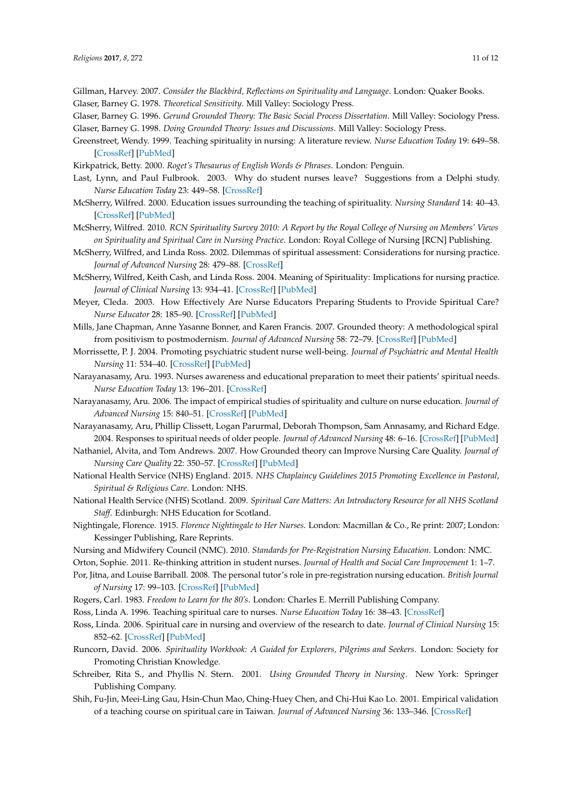- <span id="page-10-15"></span>Gillman, Harvey. 2007. *Consider the Blackbird, Reflections on Spirituality and Language*. London: Quaker Books.
- <span id="page-10-22"></span>Glaser, Barney G. 1978. *Theoretical Sensitivity*. Mill Valley: Sociology Press.
- <span id="page-10-21"></span>Glaser, Barney G. 1996. *Gerund Grounded Theory: The Basic Social Process Dissertation*. Mill Valley: Sociology Press.
- <span id="page-10-26"></span>Glaser, Barney G. 1998. *Doing Grounded Theory: Issues and Discussions*. Mill Valley: Sociology Press.
- <span id="page-10-17"></span>Greenstreet, Wendy. 1999. Teaching spirituality in nursing: A literature review. *Nurse Education Today* 19: 649–58. [\[CrossRef\]](http://dx.doi.org/10.1054/nedt.1999.0355) [\[PubMed\]](http://www.ncbi.nlm.nih.gov/pubmed/10855144)
- <span id="page-10-28"></span><span id="page-10-25"></span>Kirkpatrick, Betty. 2000. *Roget's Thesaurus of English Words & Phrases*. London: Penguin.
- Last, Lynn, and Paul Fulbrook. 2003. Why do student nurses leave? Suggestions from a Delphi study. *Nurse Education Today* 23: 449–58. [\[CrossRef\]](http://dx.doi.org/10.1016/S0260-6917(03)00063-7)
- <span id="page-10-13"></span>McSherry, Wilfred. 2000. Education issues surrounding the teaching of spirituality. *Nursing Standard* 14: 40–43. [\[CrossRef\]](http://dx.doi.org/10.7748/ns2000.07.14.42.40.c2875) [\[PubMed\]](http://www.ncbi.nlm.nih.gov/pubmed/11973794)
- <span id="page-10-5"></span>McSherry, Wilfred. 2010. *RCN Spirituality Survey 2010: A Report by the Royal College of Nursing on Members' Views on Spirituality and Spiritual Care in Nursing Practice*. London: Royal College of Nursing [RCN] Publishing.
- <span id="page-10-4"></span>McSherry, Wilfred, and Linda Ross. 2002. Dilemmas of spiritual assessment: Considerations for nursing practice. *Journal of Advanced Nursing* 28: 479–88. [\[CrossRef\]](http://dx.doi.org/10.1046/j.1365-2648.2002.02209.x)
- <span id="page-10-10"></span>McSherry, Wilfred, Keith Cash, and Linda Ross. 2004. Meaning of Spirituality: Implications for nursing practice. *Journal of Clinical Nursing* 13: 934–41. [\[CrossRef\]](http://dx.doi.org/10.1111/j.1365-2702.2004.01006.x) [\[PubMed\]](http://www.ncbi.nlm.nih.gov/pubmed/15533099)
- <span id="page-10-0"></span>Meyer, Cleda. 2003. How Effectively Are Nurse Educators Preparing Students to Provide Spiritual Care? *Nurse Educator* 28: 185–90. [\[CrossRef\]](http://dx.doi.org/10.1097/00006223-200307000-00010) [\[PubMed\]](http://www.ncbi.nlm.nih.gov/pubmed/12878898)
- <span id="page-10-20"></span>Mills, Jane Chapman, Anne Yasanne Bonner, and Karen Francis. 2007. Grounded theory: A methodological spiral from positivism to postmodernism. *Journal of Advanced Nursing* 58: 72–79. [\[CrossRef\]](http://dx.doi.org/10.1111/j.1365-2648.2007.04228.x) [\[PubMed\]](http://www.ncbi.nlm.nih.gov/pubmed/17394618)
- <span id="page-10-7"></span>Morrissette, P. J. 2004. Promoting psychiatric student nurse well-being. *Journal of Psychiatric and Mental Health Nursing* 11: 534–40. [\[CrossRef\]](http://dx.doi.org/10.1111/j.1365-2850.2004.00753.x) [\[PubMed\]](http://www.ncbi.nlm.nih.gov/pubmed/15450019)
- <span id="page-10-12"></span>Narayanasamy, Aru. 1993. Nurses awareness and educational preparation to meet their patients' spiritual needs. *Nurse Education Today* 13: 196–201. [\[CrossRef\]](http://dx.doi.org/10.1016/0260-6917(93)90102-8)
- <span id="page-10-1"></span>Narayanasamy, Aru. 2006. The impact of empirical studies of spirituality and culture on nurse education. *Journal of Advanced Nursing* 15: 840–51. [\[CrossRef\]](http://dx.doi.org/10.1111/j.1365-2702.2006.01616.x) [\[PubMed\]](http://www.ncbi.nlm.nih.gov/pubmed/16879377)
- <span id="page-10-2"></span>Narayanasamy, Aru, Phillip Clissett, Logan Parurmal, Deborah Thompson, Sam Annasamy, and Richard Edge. 2004. Responses to spiritual needs of older people. *Journal of Advanced Nursing* 48: 6–16. [\[CrossRef\]](http://dx.doi.org/10.1111/j.1365-2648.2004.03163.x) [\[PubMed\]](http://www.ncbi.nlm.nih.gov/pubmed/15347405)
- <span id="page-10-23"></span>Nathaniel, Alvita, and Tom Andrews. 2007. How Grounded theory can Improve Nursing Care Quality. *Journal of Nursing Care Quality* 22: 350–57. [\[CrossRef\]](http://dx.doi.org/10.1097/01.NCQ.0000290417.27393.91) [\[PubMed\]](http://www.ncbi.nlm.nih.gov/pubmed/17873733)
- <span id="page-10-9"></span>National Health Service (NHS) England. 2015. *NHS Chaplaincy Guidelines 2015 Promoting Excellence in Pastoral, Spiritual & Religious Care*. London: NHS.
- <span id="page-10-8"></span>National Health Service (NHS) Scotland. 2009. *Spiritual Care Matters: An Introductory Resource for all NHS Scotland Staff*. Edinburgh: NHS Education for Scotland.
- <span id="page-10-16"></span>Nightingale, Florence. 1915. *Florence Nightingale to Her Nurses*. London: Macmillan & Co., Re print: 2007; London: Kessinger Publishing, Rare Reprints.
- <span id="page-10-3"></span>Nursing and Midwifery Council (NMC). 2010. *Standards for Pre-Registration Nursing Education*. London: NMC.
- <span id="page-10-29"></span><span id="page-10-27"></span>Orton, Sophie. 2011. Re-thinking attrition in student nurses. *Journal of Health and Social Care Improvement* 1: 1–7.
- Por, Jitna, and Louise Barriball. 2008. The personal tutor's role in pre-registration nursing education. *British Journal of Nursing* 17: 99–103. [\[CrossRef\]](http://dx.doi.org/10.12968/bjon.2008.17.2.28136) [\[PubMed\]](http://www.ncbi.nlm.nih.gov/pubmed/18414281)
- <span id="page-10-19"></span><span id="page-10-11"></span>Rogers, Carl. 1983. *Freedom to Learn for the 80's*. London: Charles E. Merrill Publishing Company.
- <span id="page-10-6"></span>Ross, Linda A. 1996. Teaching spiritual care to nurses. *Nurse Education Today* 16: 38–43. [\[CrossRef\]](http://dx.doi.org/10.1016/S0260-6917(96)80091-8)
- Ross, Linda. 2006. Spiritual care in nursing and overview of the research to date. *Journal of Clinical Nursing* 15: 852–62. [\[CrossRef\]](http://dx.doi.org/10.1111/j.1365-2702.2006.01617.x) [\[PubMed\]](http://www.ncbi.nlm.nih.gov/pubmed/16879378)
- <span id="page-10-14"></span>Runcorn, David. 2006. *Spirituality Workbook: A Guided for Explorers, Pilgrims and Seekers*. London: Society for Promoting Christian Knowledge.
- <span id="page-10-24"></span>Schreiber, Rita S., and Phyllis N. Stern. 2001. *Using Grounded Theory in Nursing*. New York: Springer Publishing Company.
- <span id="page-10-18"></span>Shih, Fu-Jin, Meei-Ling Gau, Hsin-Chun Mao, Ching-Huey Chen, and Chi-Hui Kao Lo. 2001. Empirical validation of a teaching course on spiritual care in Taiwan. *Journal of Advanced Nursing* 36: 133–346. [\[CrossRef\]](http://dx.doi.org/10.1046/j.1365-2648.2001.01978.x)